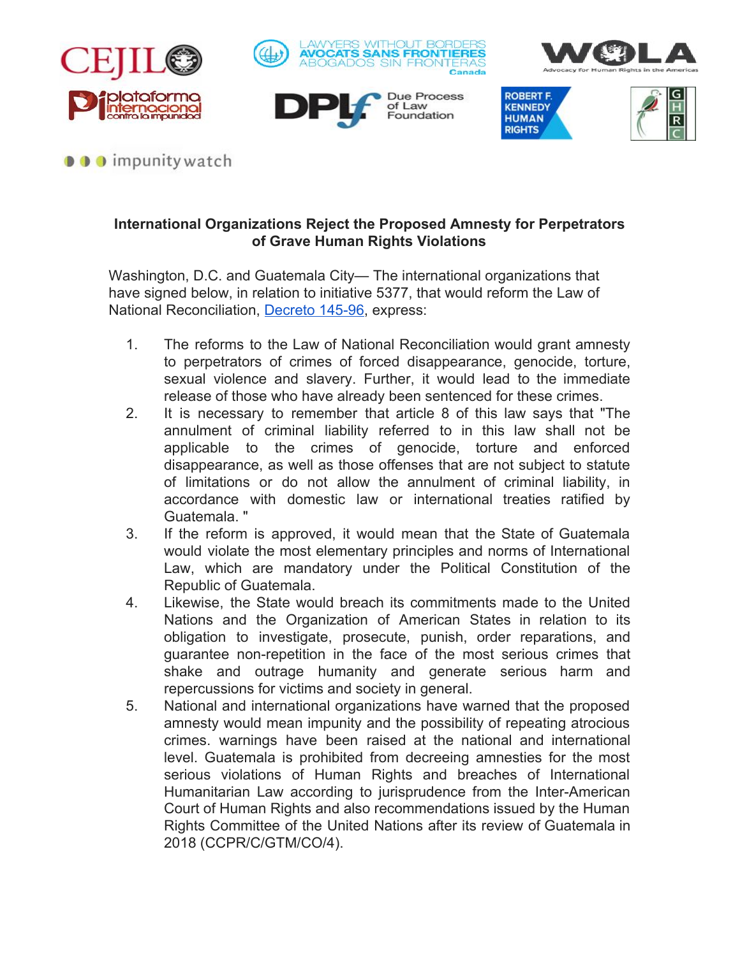









## $\bullet \bullet \bullet$  impunity watch

## **International Organizations Reject the Proposed Amnesty for Perpetrators of Grave Human Rights Violations**

Washington, D.C. and Guatemala City— The international organizations that have signed below, in relation to initiative 5377, that would reform the Law of National Reconciliation, [Decreto 145-96,](http://biblio3.url.edu.gt/Publi/Libros/Acuerdos-de-Paz/47.pdf) express:

- 1. The reforms to the Law of National Reconciliation would grant amnesty to perpetrators of crimes of forced disappearance, genocide, torture, sexual violence and slavery. Further, it would lead to the immediate release of those who have already been sentenced for these crimes.
- 2. It is necessary to remember that article 8 of this law says that "The annulment of criminal liability referred to in this law shall not be applicable to the crimes of genocide, torture and enforced disappearance, as well as those offenses that are not subject to statute of limitations or do not allow the annulment of criminal liability, in accordance with domestic law or international treaties ratified by Guatemala. "
- 3. If the reform is approved, it would mean that the State of Guatemala would violate the most elementary principles and norms of International Law, which are mandatory under the Political Constitution of the Republic of Guatemala.
- 4. Likewise, the State would breach its commitments made to the United Nations and the Organization of American States in relation to its obligation to investigate, prosecute, punish, order reparations, and guarantee non-repetition in the face of the most serious crimes that shake and outrage humanity and generate serious harm and repercussions for victims and society in general.
- 5. National and international organizations have warned that the proposed amnesty would mean impunity and the possibility of repeating atrocious crimes. warnings have been raised at the national and international level. Guatemala is prohibited from decreeing amnesties for the most serious violations of Human Rights and breaches of International Humanitarian Law according to jurisprudence from the Inter-American Court of Human Rights and also recommendations issued by the Human Rights Committee of the United Nations after its review of Guatemala in 2018 (CCPR/C/GTM/CO/4).